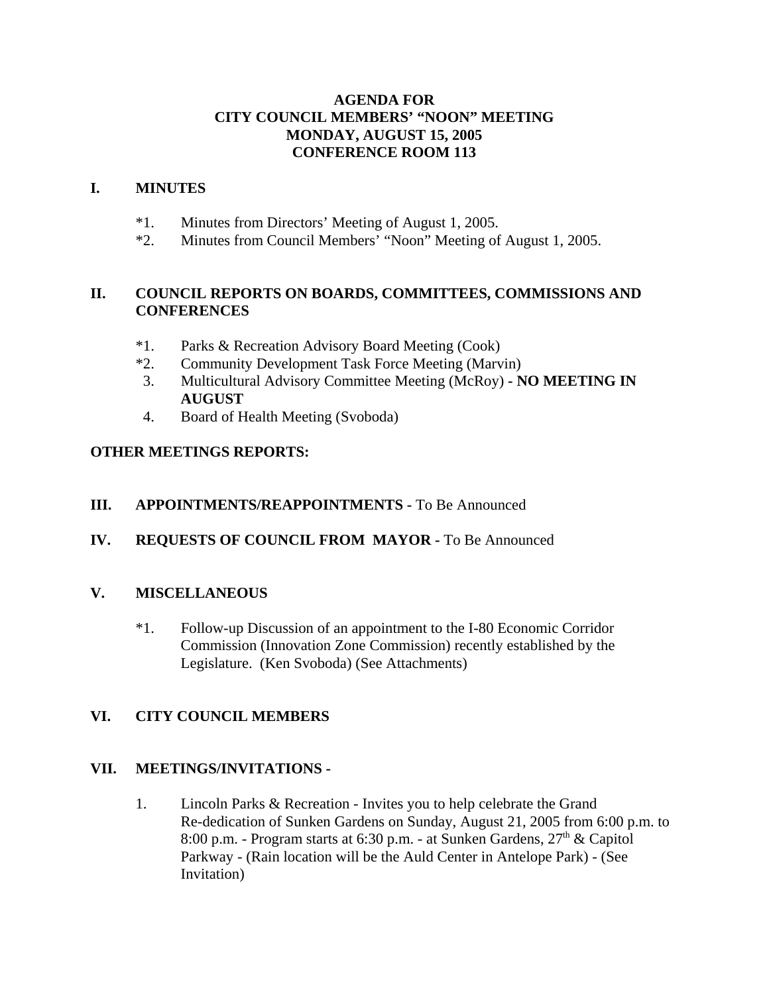### **AGENDA FOR CITY COUNCIL MEMBERS' "NOON" MEETING MONDAY, AUGUST 15, 2005 CONFERENCE ROOM 113**

#### **I. MINUTES**

- \*1. Minutes from Directors' Meeting of August 1, 2005.
- \*2. Minutes from Council Members' "Noon" Meeting of August 1, 2005.

## **II. COUNCIL REPORTS ON BOARDS, COMMITTEES, COMMISSIONS AND CONFERENCES**

- \*1. Parks & Recreation Advisory Board Meeting (Cook)
- \*2. Community Development Task Force Meeting (Marvin)
- 3. Multicultural Advisory Committee Meeting (McRoy)  **NO MEETING IN AUGUST**
- 4. Board of Health Meeting (Svoboda)

## **OTHER MEETINGS REPORTS:**

## **III.** APPOINTMENTS/REAPPOINTMENTS - To Be Announced

# **IV. REQUESTS OF COUNCIL FROM MAYOR -** To Be Announced

### **V. MISCELLANEOUS**

\*1. Follow-up Discussion of an appointment to the I-80 Economic Corridor Commission (Innovation Zone Commission) recently established by the Legislature. (Ken Svoboda) (See Attachments)

### **VI. CITY COUNCIL MEMBERS**

### **VII. MEETINGS/INVITATIONS -**

1. Lincoln Parks & Recreation - Invites you to help celebrate the Grand Re-dedication of Sunken Gardens on Sunday, August 21, 2005 from 6:00 p.m. to 8:00 p.m. - Program starts at 6:30 p.m. - at Sunken Gardens,  $27<sup>th</sup>$  & Capitol Parkway - (Rain location will be the Auld Center in Antelope Park) - (See Invitation)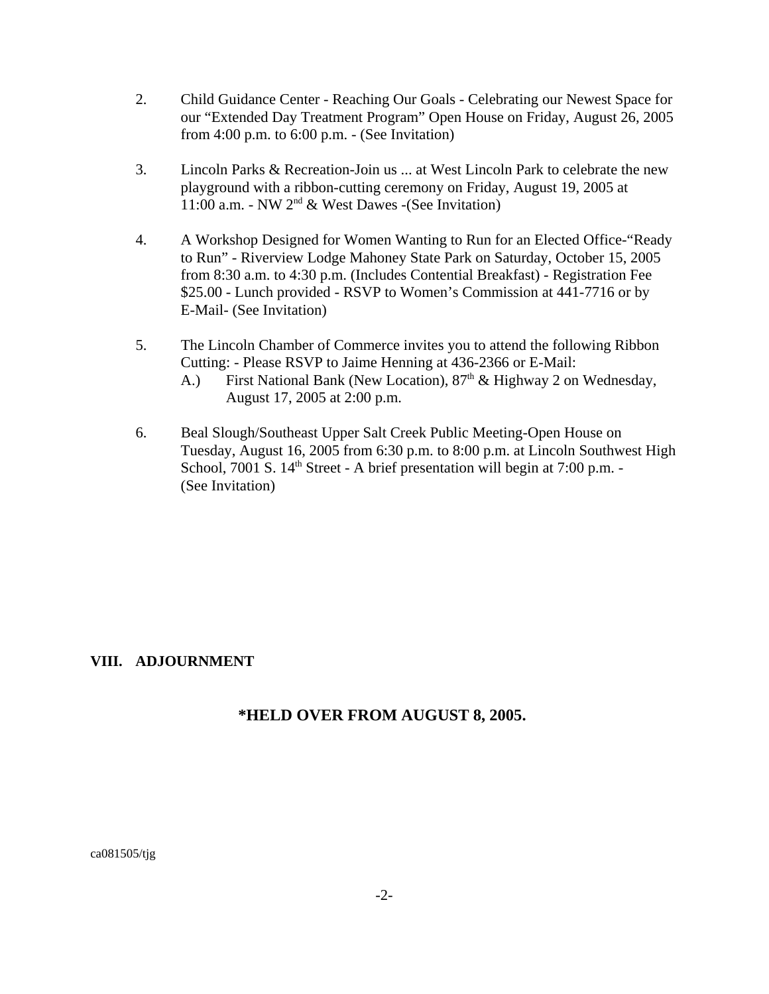- 2. Child Guidance Center Reaching Our Goals Celebrating our Newest Space for our "Extended Day Treatment Program" Open House on Friday, August 26, 2005 from  $4:00$  p.m. to  $6:00$  p.m.  $\overline{\phantom{a}}$  (See Invitation)
- 3. Lincoln Parks & Recreation-Join us ... at West Lincoln Park to celebrate the new playground with a ribbon-cutting ceremony on Friday, August 19, 2005 at 11:00 a.m. - NW  $2^{nd}$  & West Dawes -(See Invitation)
- 4. A Workshop Designed for Women Wanting to Run for an Elected Office-"Ready to Run" - Riverview Lodge Mahoney State Park on Saturday, October 15, 2005 from 8:30 a.m. to 4:30 p.m. (Includes Contential Breakfast) - Registration Fee \$25.00 - Lunch provided - RSVP to Women's Commission at 441-7716 or by E-Mail- (See Invitation)
- 5. The Lincoln Chamber of Commerce invites you to attend the following Ribbon Cutting: - Please RSVP to Jaime Henning at 436-2366 or E-Mail:
	- A.) First National Bank (New Location),  $87<sup>th</sup>$  & Highway 2 on Wednesday, August 17, 2005 at 2:00 p.m.
- 6. Beal Slough/Southeast Upper Salt Creek Public Meeting-Open House on Tuesday, August 16, 2005 from 6:30 p.m. to 8:00 p.m. at Lincoln Southwest High School, 7001 S.  $14<sup>th</sup>$  Street - A brief presentation will begin at 7:00 p.m. -(See Invitation)

### **VIII. ADJOURNMENT**

# **\*HELD OVER FROM AUGUST 8, 2005.**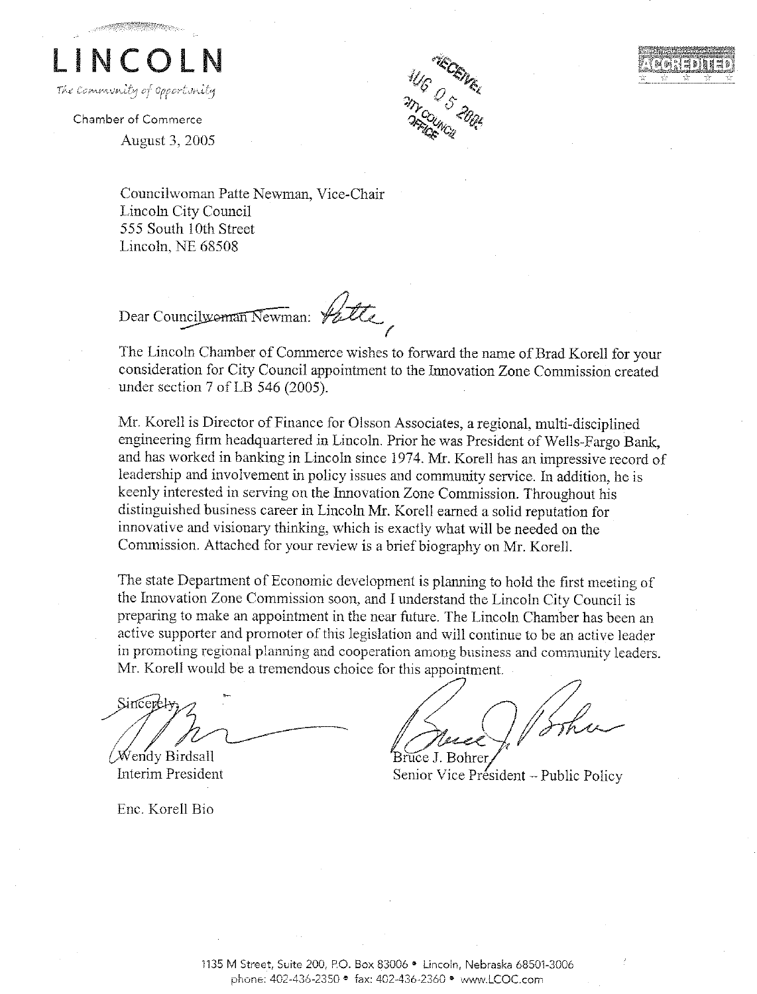

Chamber of Commerce **August 3, 2005** 



Councilwoman Patte Newman, Vice-Chair Lincoln City Council 555 South 10th Street Lincoln, NE 68508

Dear Councilwoman Newman: Valle

The Lincoln Chamber of Commerce wishes to forward the name of Brad Korell for your consideration for City Council appointment to the Innovation Zone Commission created under section 7 of LB 546 (2005).

Mr. Korell is Director of Finance for Olsson Associates, a regional, multi-disciplined engineering firm headquartered in Lincoln. Prior he was President of Wells-Fargo Bank, and has worked in banking in Lincoln since 1974. Mr. Korell has an impressive record of leadership and involvement in policy issues and community service. In addition, he is keenly interested in serving on the Innovation Zone Commission. Throughout his distinguished business career in Lincoln Mr. Korell earned a solid reputation for innovative and visionary thinking, which is exactly what will be needed on the Commission. Attached for your review is a brief biography on Mr. Korell.

The state Department of Economic development is planning to hold the first meeting of the Innovation Zone Commission soon, and I understand the Lincoln City Council is preparing to make an appointment in the near future. The Lincoln Chamber has been an active supporter and promoter of this legislation and will continue to be an active leader in promoting regional planning and cooperation among business and community leaders. Mr. Korell would be a tremendous choice for this appointment.

Sincert Wendy Birdsall

Interim President

Enc. Korell Bio

Senior Vice Président - Public Policy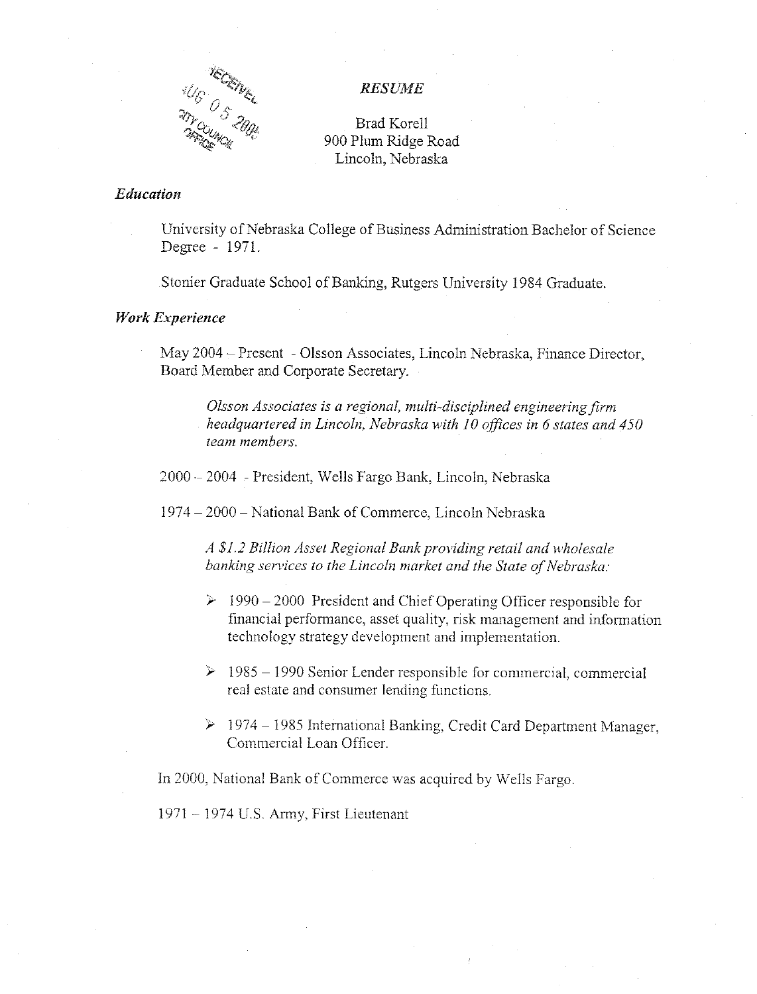

#### **RESUME**

Brad Korell 900 Plum Ridge Road Lincoln, Nebraska

#### Education

University of Nebraska College of Business Administration Bachelor of Science Degree - 1971.

Stonier Graduate School of Banking, Rutgers University 1984 Graduate.

#### **Work Experience**

May 2004 – Present - Olsson Associates, Lincoln Nebraska, Finance Director, Board Member and Corporate Secretary.

Olsson Associates is a regional, multi-disciplined engineering firm headquartered in Lincoln, Nebraska with 10 offices in 6 states and 450 team members.

2000 - 2004 - President, Wells Fargo Bank, Lincoln, Nebraska

1974 – 2000 – National Bank of Commerce, Lincoln Nebraska

A \$1.2 Billion Asset Regional Bank providing retail and wholesale banking services to the Lincoln market and the State of Nebraska:

- $\geq 1990 2000$  President and Chief Operating Officer responsible for financial performance, asset quality, risk management and information technology strategy development and implementation.
- $\geq 1985 1990$  Senior Lender responsible for commercial, commercial real estate and consumer lending functions.
- $\triangleright$  1974 1985 International Banking, Credit Card Department Manager, Commercial Loan Officer.

In 2000, National Bank of Commerce was acquired by Wells Fargo.

1971 – 1974 U.S. Army, First Lieutenant